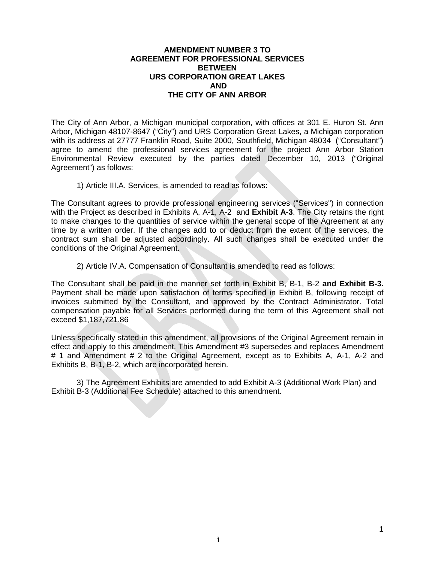#### **AMENDMENT NUMBER 3 TO AGREEMENT FOR PROFESSIONAL SERVICES BETWEEN URS CORPORATION GREAT LAKES AND THE CITY OF ANN ARBOR**

The City of Ann Arbor, a Michigan municipal corporation, with offices at 301 E. Huron St. Ann Arbor, Michigan 48107-8647 ("City") and URS Corporation Great Lakes, a Michigan corporation with its address at 27777 Franklin Road, Suite 2000, Southfield, Michigan 48034 ("Consultant") agree to amend the professional services agreement for the project Ann Arbor Station Environmental Review executed by the parties dated December 10, 2013 ("Original Agreement") as follows:

1) Article III.A. Services, is amended to read as follows:

The Consultant agrees to provide professional engineering services ("Services") in connection with the Project as described in Exhibits A, A-1, A-2 and **Exhibit A-3**. The City retains the right to make changes to the quantities of service within the general scope of the Agreement at any time by a written order. If the changes add to or deduct from the extent of the services, the contract sum shall be adjusted accordingly. All such changes shall be executed under the conditions of the Original Agreement.

2) Article IV.A. Compensation of Consultant is amended to read as follows:

The Consultant shall be paid in the manner set forth in Exhibit B, B-1, B-2 **and Exhibit B-3.** Payment shall be made upon satisfaction of terms specified in Exhibit B, following receipt of invoices submitted by the Consultant, and approved by the Contract Administrator. Total compensation payable for all Services performed during the term of this Agreement shall not exceed \$1,187,721.86

Unless specifically stated in this amendment, all provisions of the Original Agreement remain in effect and apply to this amendment. This Amendment #3 supersedes and replaces Amendment # 1 and Amendment # 2 to the Original Agreement, except as to Exhibits A, A-1, A-2 and Exhibits B, B-1, B-2, which are incorporated herein.

3) The Agreement Exhibits are amended to add Exhibit A-3 (Additional Work Plan) and Exhibit B-3 (Additional Fee Schedule) attached to this amendment.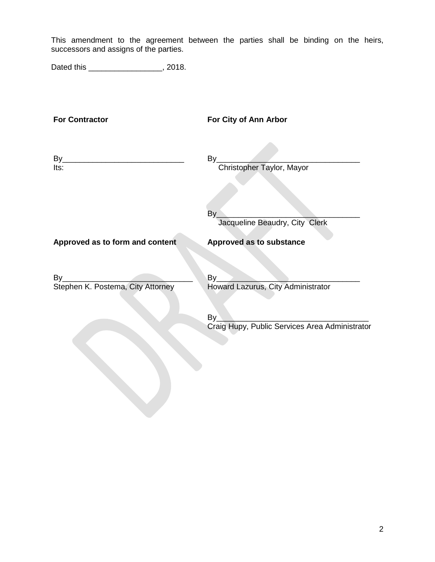This amendment to the agreement between the parties shall be binding on the heirs, successors and assigns of the parties.

Dated this \_\_\_\_\_\_\_\_\_\_\_\_\_\_\_\_\_\_, 2018.

| <b>For Contractor</b>             | For City of Ann Arbor                                |  |  |  |
|-----------------------------------|------------------------------------------------------|--|--|--|
| By<br>Its:                        | By<br>Christopher Taylor, Mayor                      |  |  |  |
|                                   | By<br>Jacqueline Beaudry, City Clerk                 |  |  |  |
| Approved as to form and content   | <b>Approved as to substance</b>                      |  |  |  |
| $By_$                             | By                                                   |  |  |  |
| Stephen K. Postema, City Attorney | Howard Lazurus, City Administrator                   |  |  |  |
|                                   | By<br>Craig Hupy, Public Services Area Administrator |  |  |  |
|                                   |                                                      |  |  |  |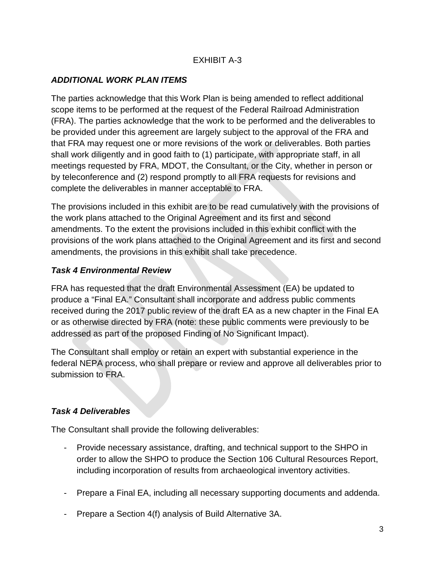# EXHIBIT A-3

## *ADDITIONAL WORK PLAN ITEMS*

The parties acknowledge that this Work Plan is being amended to reflect additional scope items to be performed at the request of the Federal Railroad Administration (FRA). The parties acknowledge that the work to be performed and the deliverables to be provided under this agreement are largely subject to the approval of the FRA and that FRA may request one or more revisions of the work or deliverables. Both parties shall work diligently and in good faith to (1) participate, with appropriate staff, in all meetings requested by FRA, MDOT, the Consultant, or the City, whether in person or by teleconference and (2) respond promptly to all FRA requests for revisions and complete the deliverables in manner acceptable to FRA.

The provisions included in this exhibit are to be read cumulatively with the provisions of the work plans attached to the Original Agreement and its first and second amendments. To the extent the provisions included in this exhibit conflict with the provisions of the work plans attached to the Original Agreement and its first and second amendments, the provisions in this exhibit shall take precedence.

### *Task 4 Environmental Review*

FRA has requested that the draft Environmental Assessment (EA) be updated to produce a "Final EA." Consultant shall incorporate and address public comments received during the 2017 public review of the draft EA as a new chapter in the Final EA or as otherwise directed by FRA (note: these public comments were previously to be addressed as part of the proposed Finding of No Significant Impact).

The Consultant shall employ or retain an expert with substantial experience in the federal NEPA process, who shall prepare or review and approve all deliverables prior to submission to FRA.

## *Task 4 Deliverables*

The Consultant shall provide the following deliverables:

- Provide necessary assistance, drafting, and technical support to the SHPO in order to allow the SHPO to produce the Section 106 Cultural Resources Report, including incorporation of results from archaeological inventory activities.
- Prepare a Final EA, including all necessary supporting documents and addenda.
- Prepare a Section 4(f) analysis of Build Alternative 3A.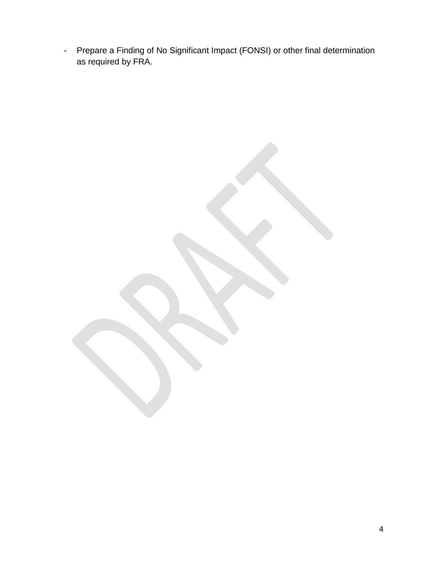- Prepare a Finding of No Significant Impact (FONSI) or other final determination as required by FRA.